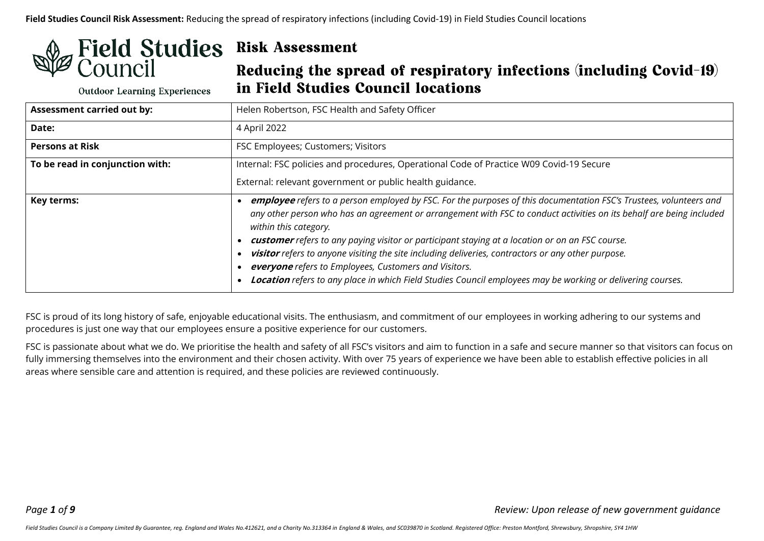# **Field Studies Risk Assessment** Council

**Outdoor Learning Experiences** 

Reducing the spread of respiratory infections (including Covid-19) in Field Studies Council locations

| <b>Assessment carried out by:</b> | Helen Robertson, FSC Health and Safety Officer                                                                                                                                                                                                                                                                                                                                                                                                                                                                                                                                                                                                       |  |
|-----------------------------------|------------------------------------------------------------------------------------------------------------------------------------------------------------------------------------------------------------------------------------------------------------------------------------------------------------------------------------------------------------------------------------------------------------------------------------------------------------------------------------------------------------------------------------------------------------------------------------------------------------------------------------------------------|--|
| <b>Date:</b>                      | 4 April 2022                                                                                                                                                                                                                                                                                                                                                                                                                                                                                                                                                                                                                                         |  |
| <b>Persons at Risk</b>            | FSC Employees; Customers; Visitors                                                                                                                                                                                                                                                                                                                                                                                                                                                                                                                                                                                                                   |  |
| To be read in conjunction with:   | Internal: FSC policies and procedures, Operational Code of Practice W09 Covid-19 Secure<br>External: relevant government or public health guidance.                                                                                                                                                                                                                                                                                                                                                                                                                                                                                                  |  |
| <b>Key terms:</b>                 | employee refers to a person employed by FSC. For the purposes of this documentation FSC's Trustees, volunteers and<br>any other person who has an agreement or arrangement with FSC to conduct activities on its behalf are being included<br>within this category.<br>customer refers to any paying visitor or participant staying at a location or on an FSC course.<br>visitor refers to anyone visiting the site including deliveries, contractors or any other purpose.<br>everyone refers to Employees, Customers and Visitors.<br>Location refers to any place in which Field Studies Council employees may be working or delivering courses. |  |

FSC is proud of its long history of safe, enjoyable educational visits. The enthusiasm, and commitment of our employees in working adhering to our systems and procedures is just one way that our employees ensure a positive experience for our customers.

FSC is passionate about what we do. We prioritise the health and safety of all FSC's visitors and aim to function in a safe and secure manner so that visitors can focus on fully immersing themselves into the environment and their chosen activity. With over 75 years of experience we have been able to establish effective policies in all areas where sensible care and attention is required, and these policies are reviewed continuously.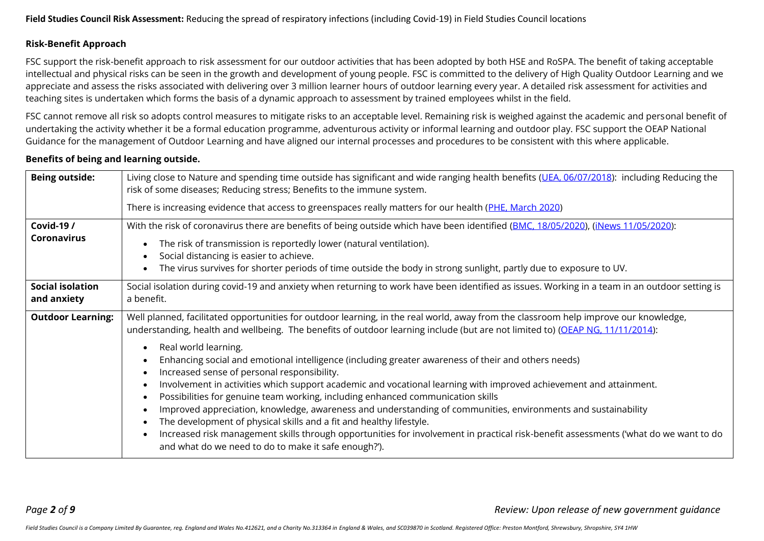#### **Risk-Benefit Approach**

FSC support the risk-benefit approach to risk assessment for our outdoor activities that has been adopted by both HSE and RoSPA. The benefit of taking acceptable intellectual and physical risks can be seen in the growth and development of young people. FSC is committed to the delivery of High Quality Outdoor Learning and we appreciate and assess the risks associated with delivering over 3 million learner hours of outdoor learning every year. A detailed risk assessment for activities and teaching sites is undertaken which forms the basis of a dynamic approach to assessment by trained employees whilst in the field.

FSC cannot remove all risk so adopts control measures to mitigate risks to an acceptable level. Remaining risk is weighed against the academic and personal benefit of undertaking the activity whether it be a formal education programme, adventurous activity or informal learning and outdoor play. FSC support the OEAP National Guidance for the management of Outdoor Learning and have aligned our internal processes and procedures to be consistent with this where applicable.

#### **Benefits of being and learning outside.**

| <b>Being outside:</b>                   | Living close to Nature and spending time outside has significant and wide ranging health benefits (UEA, 06/07/2018): including Reducing the<br>risk of some diseases; Reducing stress; Benefits to the immune system.<br>There is increasing evidence that access to greenspaces really matters for our health (PHE, March 2020)                                                                                                                                                                                                                                                                                                                                                                                                                                                                                                                                                                                                                                                                                                                     |
|-----------------------------------------|------------------------------------------------------------------------------------------------------------------------------------------------------------------------------------------------------------------------------------------------------------------------------------------------------------------------------------------------------------------------------------------------------------------------------------------------------------------------------------------------------------------------------------------------------------------------------------------------------------------------------------------------------------------------------------------------------------------------------------------------------------------------------------------------------------------------------------------------------------------------------------------------------------------------------------------------------------------------------------------------------------------------------------------------------|
| <b>Covid-19 /</b><br><b>Coronavirus</b> | With the risk of coronavirus there are benefits of being outside which have been identified (BMC, 18/05/2020), (iNews 11/05/2020):<br>The risk of transmission is reportedly lower (natural ventilation).<br>Social distancing is easier to achieve.<br>The virus survives for shorter periods of time outside the body in strong sunlight, partly due to exposure to UV.                                                                                                                                                                                                                                                                                                                                                                                                                                                                                                                                                                                                                                                                            |
| <b>Social isolation</b><br>and anxiety  | Social isolation during covid-19 and anxiety when returning to work have been identified as issues. Working in a team in an outdoor setting is<br>a benefit.                                                                                                                                                                                                                                                                                                                                                                                                                                                                                                                                                                                                                                                                                                                                                                                                                                                                                         |
| <b>Outdoor Learning:</b>                | Well planned, facilitated opportunities for outdoor learning, in the real world, away from the classroom help improve our knowledge,<br>understanding, health and wellbeing. The benefits of outdoor learning include (but are not limited to) (OEAP NG, 11/11/2014):<br>Real world learning.<br>Enhancing social and emotional intelligence (including greater awareness of their and others needs)<br>Increased sense of personal responsibility.<br>Involvement in activities which support academic and vocational learning with improved achievement and attainment.<br>Possibilities for genuine team working, including enhanced communication skills<br>Improved appreciation, knowledge, awareness and understanding of communities, environments and sustainability<br>The development of physical skills and a fit and healthy lifestyle.<br>Increased risk management skills through opportunities for involvement in practical risk-benefit assessments ('what do we want to do<br>and what do we need to do to make it safe enough?'). |

*Page 2 of 9 Review: Upon release of new government guidance*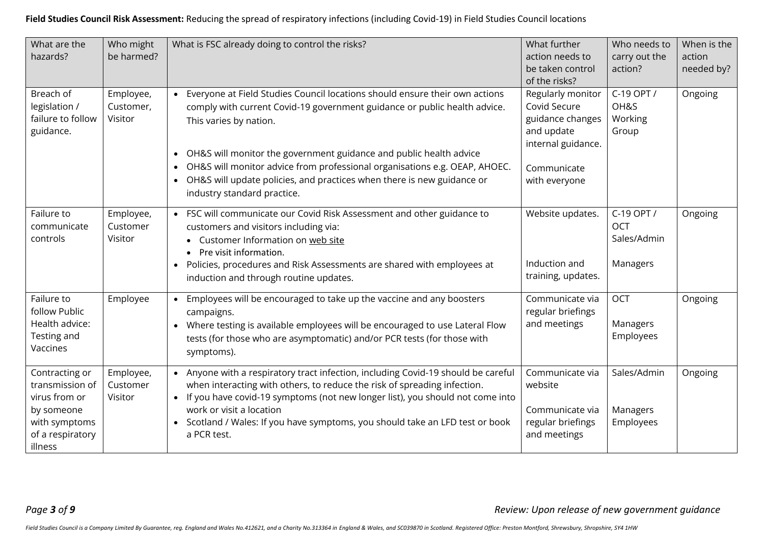| What are the<br>hazards?                                                                                         | Who might<br>be harmed?           | What is FSC already doing to control the risks?                                                                                                                                                                                                                                                                                                                                                                                                                             | What further<br>action needs to<br>be taken control<br>of the risks?                                                      | Who needs to<br>carry out the<br>action?            | When is the<br>action<br>needed by? |
|------------------------------------------------------------------------------------------------------------------|-----------------------------------|-----------------------------------------------------------------------------------------------------------------------------------------------------------------------------------------------------------------------------------------------------------------------------------------------------------------------------------------------------------------------------------------------------------------------------------------------------------------------------|---------------------------------------------------------------------------------------------------------------------------|-----------------------------------------------------|-------------------------------------|
| Breach of<br>legislation /<br>failure to follow<br>guidance.                                                     | Employee,<br>Customer,<br>Visitor | Everyone at Field Studies Council locations should ensure their own actions<br>comply with current Covid-19 government guidance or public health advice.<br>This varies by nation.<br>OH&S will monitor the government guidance and public health advice<br>$\bullet$<br>OH&S will monitor advice from professional organisations e.g. OEAP, AHOEC.<br>$\bullet$<br>• OH&S will update policies, and practices when there is new guidance or<br>industry standard practice. | Regularly monitor<br>Covid Secure<br>guidance changes<br>and update<br>internal guidance.<br>Communicate<br>with everyone | C-19 OPT /<br>OH&S<br>Working<br>Group              | Ongoing                             |
| Failure to<br>communicate<br>controls                                                                            | Employee,<br>Customer<br>Visitor  | • FSC will communicate our Covid Risk Assessment and other guidance to<br>customers and visitors including via:<br>Customer Information on web site<br>Pre visit information.<br>• Policies, procedures and Risk Assessments are shared with employees at<br>induction and through routine updates.                                                                                                                                                                         | Website updates.<br>Induction and<br>training, updates.                                                                   | C-19 OPT /<br><b>OCT</b><br>Sales/Admin<br>Managers | Ongoing                             |
| Failure to<br>follow Public<br>Health advice:<br>Testing and<br>Vaccines                                         | Employee                          | • Employees will be encouraged to take up the vaccine and any boosters<br>campaigns.<br>• Where testing is available employees will be encouraged to use Lateral Flow<br>tests (for those who are asymptomatic) and/or PCR tests (for those with<br>symptoms).                                                                                                                                                                                                              | Communicate via<br>regular briefings<br>and meetings                                                                      | <b>OCT</b><br>Managers<br>Employees                 | Ongoing                             |
| Contracting or<br>transmission of<br>virus from or<br>by someone<br>with symptoms<br>of a respiratory<br>illness | Employee,<br>Customer<br>Visitor  | • Anyone with a respiratory tract infection, including Covid-19 should be careful<br>when interacting with others, to reduce the risk of spreading infection.<br>• If you have covid-19 symptoms (not new longer list), you should not come into<br>work or visit a location<br>• Scotland / Wales: If you have symptoms, you should take an LFD test or book<br>a PCR test.                                                                                                | Communicate via<br>website<br>Communicate via<br>regular briefings<br>and meetings                                        | Sales/Admin<br>Managers<br>Employees                | Ongoing                             |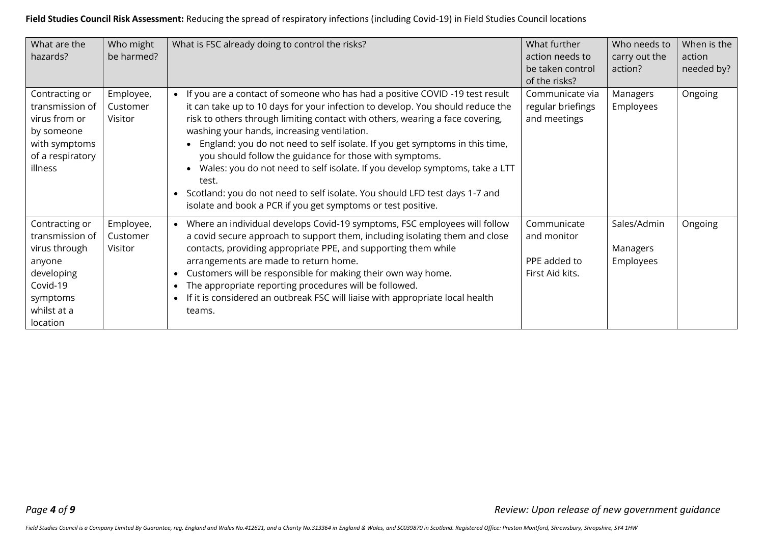| What are the<br>hazards?                                                                                                      | Who might<br>be harmed?          | What is FSC already doing to control the risks?                                                                                                                                                                                                                                                                                                                                                                                                                                                                                                                                                                                                                                       | What further<br>action needs to<br>be taken control<br>of the risks? | Who needs to<br>carry out the<br>action? | When is the<br>action<br>needed by? |
|-------------------------------------------------------------------------------------------------------------------------------|----------------------------------|---------------------------------------------------------------------------------------------------------------------------------------------------------------------------------------------------------------------------------------------------------------------------------------------------------------------------------------------------------------------------------------------------------------------------------------------------------------------------------------------------------------------------------------------------------------------------------------------------------------------------------------------------------------------------------------|----------------------------------------------------------------------|------------------------------------------|-------------------------------------|
| Contracting or<br>transmission of<br>virus from or<br>by someone<br>with symptoms<br>of a respiratory<br>illness              | Employee,<br>Customer<br>Visitor | • If you are a contact of someone who has had a positive COVID -19 test result<br>it can take up to 10 days for your infection to develop. You should reduce the<br>risk to others through limiting contact with others, wearing a face covering,<br>washing your hands, increasing ventilation.<br>• England: you do not need to self isolate. If you get symptoms in this time,<br>you should follow the guidance for those with symptoms.<br>• Wales: you do not need to self isolate. If you develop symptoms, take a LTT<br>test.<br>Scotland: you do not need to self isolate. You should LFD test days 1-7 and<br>isolate and book a PCR if you get symptoms or test positive. | Communicate via<br>regular briefings<br>and meetings                 | Managers<br>Employees                    | Ongoing                             |
| Contracting or<br>transmission of<br>virus through<br>anyone<br>developing<br>Covid-19<br>symptoms<br>whilst at a<br>location | Employee,<br>Customer<br>Visitor | Where an individual develops Covid-19 symptoms, FSC employees will follow<br>a covid secure approach to support them, including isolating them and close<br>contacts, providing appropriate PPE, and supporting them while<br>arrangements are made to return home.<br>Customers will be responsible for making their own way home.<br>The appropriate reporting procedures will be followed.<br>$\bullet$<br>If it is considered an outbreak FSC will liaise with appropriate local health<br>$\bullet$<br>teams.                                                                                                                                                                    | Communicate<br>and monitor<br>PPE added to<br>First Aid kits.        | Sales/Admin<br>Managers<br>Employees     | Ongoing                             |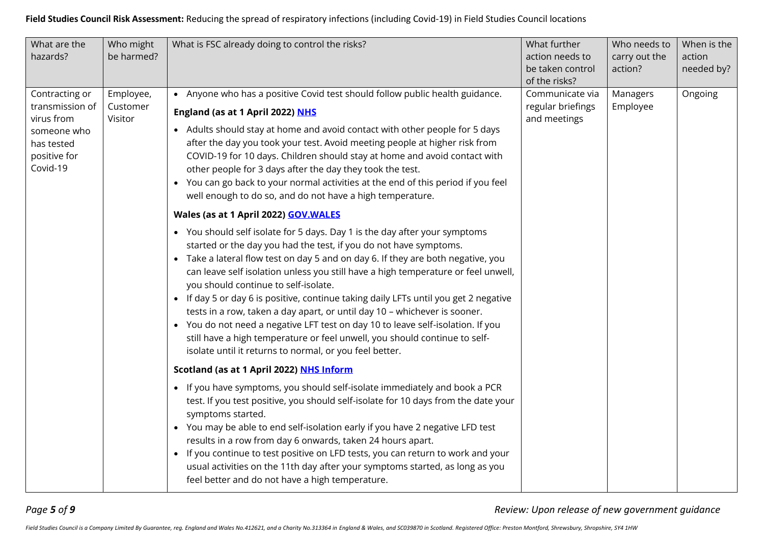| What are the<br>hazards?                                                                                 | Who might<br>be harmed?          | What is FSC already doing to control the risks?                                                                                                                                                                                                                                                                                                                                                                                                                                                                                                                           | What further<br>action needs to<br>be taken control<br>of the risks?                                                                                                                                                                                                                                                                                                                                                                                                                                                                                                                                                                                                                                                                                              | Who needs to<br>carry out the<br>action? | When is the<br>action<br>needed by? |
|----------------------------------------------------------------------------------------------------------|----------------------------------|---------------------------------------------------------------------------------------------------------------------------------------------------------------------------------------------------------------------------------------------------------------------------------------------------------------------------------------------------------------------------------------------------------------------------------------------------------------------------------------------------------------------------------------------------------------------------|-------------------------------------------------------------------------------------------------------------------------------------------------------------------------------------------------------------------------------------------------------------------------------------------------------------------------------------------------------------------------------------------------------------------------------------------------------------------------------------------------------------------------------------------------------------------------------------------------------------------------------------------------------------------------------------------------------------------------------------------------------------------|------------------------------------------|-------------------------------------|
| Contracting or<br>transmission of<br>virus from<br>someone who<br>has tested<br>positive for<br>Covid-19 | Employee,<br>Customer<br>Visitor | • Anyone who has a positive Covid test should follow public health guidance.<br>England (as at 1 April 2022) NHS<br>• Adults should stay at home and avoid contact with other people for 5 days<br>after the day you took your test. Avoid meeting people at higher risk from<br>COVID-19 for 10 days. Children should stay at home and avoid contact with<br>other people for 3 days after the day they took the test.<br>• You can go back to your normal activities at the end of this period if you feel<br>well enough to do so, and do not have a high temperature. | Communicate via<br>regular briefings<br>and meetings                                                                                                                                                                                                                                                                                                                                                                                                                                                                                                                                                                                                                                                                                                              | Managers<br>Employee                     | Ongoing                             |
|                                                                                                          |                                  | Wales (as at 1 April 2022) <b>GOV. WALES</b>                                                                                                                                                                                                                                                                                                                                                                                                                                                                                                                              |                                                                                                                                                                                                                                                                                                                                                                                                                                                                                                                                                                                                                                                                                                                                                                   |                                          |                                     |
|                                                                                                          |                                  |                                                                                                                                                                                                                                                                                                                                                                                                                                                                                                                                                                           | • You should self isolate for 5 days. Day 1 is the day after your symptoms<br>started or the day you had the test, if you do not have symptoms.<br>• Take a lateral flow test on day 5 and on day 6. If they are both negative, you<br>can leave self isolation unless you still have a high temperature or feel unwell,<br>you should continue to self-isolate.<br>• If day 5 or day 6 is positive, continue taking daily LFTs until you get 2 negative<br>tests in a row, taken a day apart, or until day 10 - whichever is sooner.<br>• You do not need a negative LFT test on day 10 to leave self-isolation. If you<br>still have a high temperature or feel unwell, you should continue to self-<br>isolate until it returns to normal, or you feel better. |                                          |                                     |
|                                                                                                          |                                  | Scotland (as at 1 April 2022) NHS Inform                                                                                                                                                                                                                                                                                                                                                                                                                                                                                                                                  |                                                                                                                                                                                                                                                                                                                                                                                                                                                                                                                                                                                                                                                                                                                                                                   |                                          |                                     |
|                                                                                                          |                                  | • If you have symptoms, you should self-isolate immediately and book a PCR<br>test. If you test positive, you should self-isolate for 10 days from the date your<br>symptoms started.<br>• You may be able to end self-isolation early if you have 2 negative LFD test<br>results in a row from day 6 onwards, taken 24 hours apart.<br>• If you continue to test positive on LFD tests, you can return to work and your<br>usual activities on the 11th day after your symptoms started, as long as you<br>feel better and do not have a high temperature.               |                                                                                                                                                                                                                                                                                                                                                                                                                                                                                                                                                                                                                                                                                                                                                                   |                                          |                                     |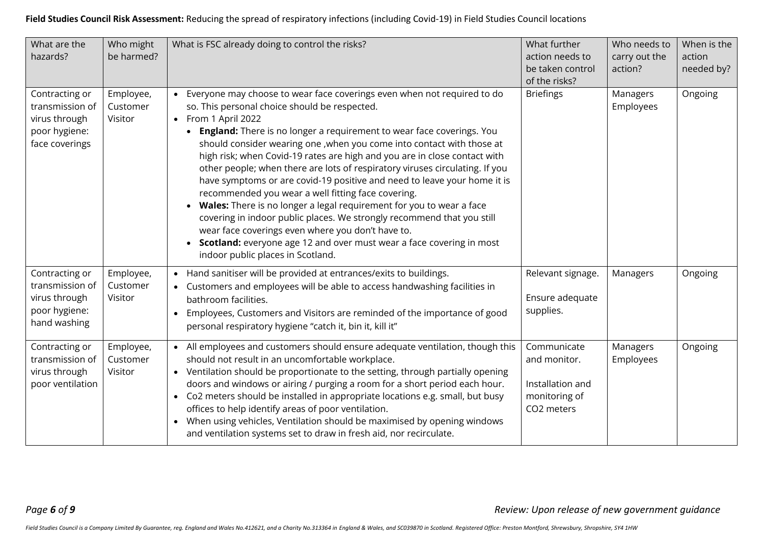| What are the<br>hazards?                                                              | Who might<br>be harmed?          | What is FSC already doing to control the risks?                                                                                                                                                                                                                                                                                                                                                                                                                                                                                                                                                                                                                                                                                                                                                                                                                                                                                      | What further<br>action needs to<br>be taken control<br>of the risks?           | Who needs to<br>carry out the<br>action? | When is the<br>action<br>needed by? |
|---------------------------------------------------------------------------------------|----------------------------------|--------------------------------------------------------------------------------------------------------------------------------------------------------------------------------------------------------------------------------------------------------------------------------------------------------------------------------------------------------------------------------------------------------------------------------------------------------------------------------------------------------------------------------------------------------------------------------------------------------------------------------------------------------------------------------------------------------------------------------------------------------------------------------------------------------------------------------------------------------------------------------------------------------------------------------------|--------------------------------------------------------------------------------|------------------------------------------|-------------------------------------|
| Contracting or<br>transmission of<br>virus through<br>poor hygiene:<br>face coverings | Employee,<br>Customer<br>Visitor | Everyone may choose to wear face coverings even when not required to do<br>so. This personal choice should be respected.<br>• From 1 April 2022<br>England: There is no longer a requirement to wear face coverings. You<br>$\bullet$<br>should consider wearing one , when you come into contact with those at<br>high risk; when Covid-19 rates are high and you are in close contact with<br>other people; when there are lots of respiratory viruses circulating. If you<br>have symptoms or are covid-19 positive and need to leave your home it is<br>recommended you wear a well fitting face covering.<br>• Wales: There is no longer a legal requirement for you to wear a face<br>covering in indoor public places. We strongly recommend that you still<br>wear face coverings even where you don't have to.<br>Scotland: everyone age 12 and over must wear a face covering in most<br>indoor public places in Scotland. | <b>Briefings</b>                                                               | Managers<br>Employees                    | Ongoing                             |
| Contracting or<br>transmission of<br>virus through<br>poor hygiene:<br>hand washing   | Employee,<br>Customer<br>Visitor | Hand sanitiser will be provided at entrances/exits to buildings.<br>Customers and employees will be able to access handwashing facilities in<br>bathroom facilities.<br>Employees, Customers and Visitors are reminded of the importance of good<br>personal respiratory hygiene "catch it, bin it, kill it"                                                                                                                                                                                                                                                                                                                                                                                                                                                                                                                                                                                                                         | Relevant signage.<br>Ensure adequate<br>supplies.                              | Managers                                 | Ongoing                             |
| Contracting or<br>transmission of<br>virus through<br>poor ventilation                | Employee,<br>Customer<br>Visitor | • All employees and customers should ensure adequate ventilation, though this<br>should not result in an uncomfortable workplace.<br>• Ventilation should be proportionate to the setting, through partially opening<br>doors and windows or airing / purging a room for a short period each hour.<br>• Co2 meters should be installed in appropriate locations e.g. small, but busy<br>offices to help identify areas of poor ventilation.<br>When using vehicles, Ventilation should be maximised by opening windows<br>and ventilation systems set to draw in fresh aid, nor recirculate.                                                                                                                                                                                                                                                                                                                                         | Communicate<br>and monitor.<br>Installation and<br>monitoring of<br>CO2 meters | Managers<br>Employees                    | Ongoing                             |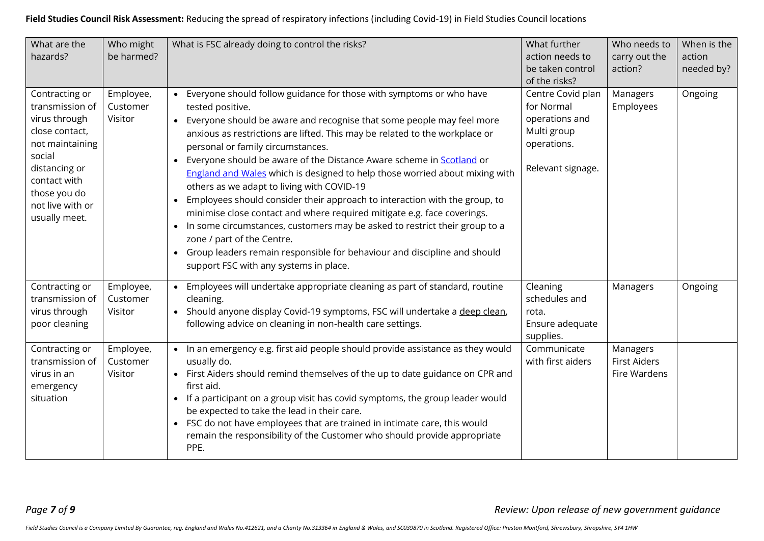| What are the<br>hazards?                                                                                                                                                                | Who might<br>be harmed?          | What is FSC already doing to control the risks?                                                                                                                                                                                                                                                                                                                                                                                                                                                                                                                                                                                                                                                                                                                                                                                                                                              | What further<br>action needs to<br>be taken control<br>of the risks?                                 | Who needs to<br>carry out the<br>action?        | When is the<br>action<br>needed by? |
|-----------------------------------------------------------------------------------------------------------------------------------------------------------------------------------------|----------------------------------|----------------------------------------------------------------------------------------------------------------------------------------------------------------------------------------------------------------------------------------------------------------------------------------------------------------------------------------------------------------------------------------------------------------------------------------------------------------------------------------------------------------------------------------------------------------------------------------------------------------------------------------------------------------------------------------------------------------------------------------------------------------------------------------------------------------------------------------------------------------------------------------------|------------------------------------------------------------------------------------------------------|-------------------------------------------------|-------------------------------------|
| Contracting or<br>transmission of<br>virus through<br>close contact,<br>not maintaining<br>social<br>distancing or<br>contact with<br>those you do<br>not live with or<br>usually meet. | Employee,<br>Customer<br>Visitor | • Everyone should follow guidance for those with symptoms or who have<br>tested positive.<br>• Everyone should be aware and recognise that some people may feel more<br>anxious as restrictions are lifted. This may be related to the workplace or<br>personal or family circumstances.<br>Everyone should be aware of the Distance Aware scheme in Scotland or<br>England and Wales which is designed to help those worried about mixing with<br>others as we adapt to living with COVID-19<br>Employees should consider their approach to interaction with the group, to<br>minimise close contact and where required mitigate e.g. face coverings.<br>• In some circumstances, customers may be asked to restrict their group to a<br>zone / part of the Centre.<br>• Group leaders remain responsible for behaviour and discipline and should<br>support FSC with any systems in place. | Centre Covid plan<br>for Normal<br>operations and<br>Multi group<br>operations.<br>Relevant signage. | Managers<br>Employees                           | Ongoing                             |
| Contracting or<br>transmission of<br>virus through<br>poor cleaning                                                                                                                     | Employee,<br>Customer<br>Visitor | • Employees will undertake appropriate cleaning as part of standard, routine<br>cleaning.<br>Should anyone display Covid-19 symptoms, FSC will undertake a deep clean,<br>following advice on cleaning in non-health care settings.                                                                                                                                                                                                                                                                                                                                                                                                                                                                                                                                                                                                                                                          | Cleaning<br>schedules and<br>rota.<br>Ensure adequate<br>supplies.                                   | Managers                                        | Ongoing                             |
| Contracting or<br>transmission of<br>virus in an<br>emergency<br>situation                                                                                                              | Employee,<br>Customer<br>Visitor | • In an emergency e.g. first aid people should provide assistance as they would<br>usually do.<br>• First Aiders should remind themselves of the up to date guidance on CPR and<br>first aid.<br>• If a participant on a group visit has covid symptoms, the group leader would<br>be expected to take the lead in their care.<br>• FSC do not have employees that are trained in intimate care, this would<br>remain the responsibility of the Customer who should provide appropriate<br>PPE.                                                                                                                                                                                                                                                                                                                                                                                              | Communicate<br>with first aiders                                                                     | Managers<br><b>First Aiders</b><br>Fire Wardens |                                     |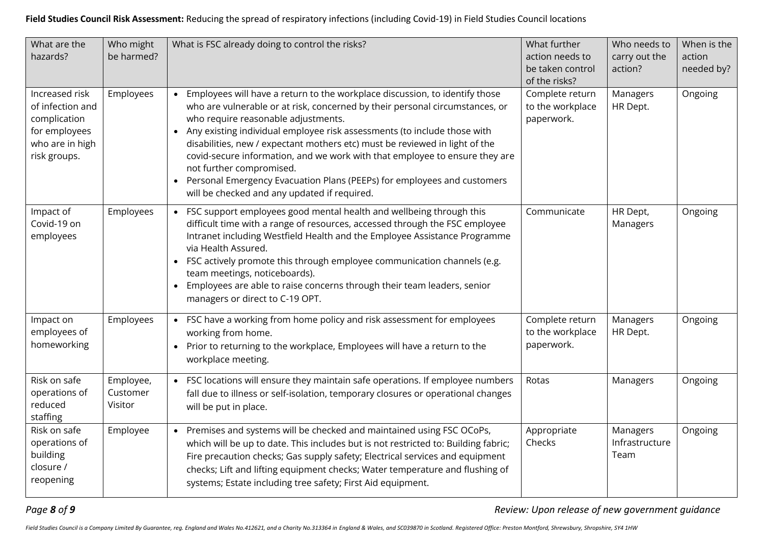| What are the<br>hazards?                                                                               | Who might<br>be harmed?          | What is FSC already doing to control the risks?                                                                                                                                                                                                                                                                                                                                                                                                                                                                                                                                                           | What further<br>action needs to<br>be taken control<br>of the risks? | Who needs to<br>carry out the<br>action? | When is the<br>action<br>needed by? |
|--------------------------------------------------------------------------------------------------------|----------------------------------|-----------------------------------------------------------------------------------------------------------------------------------------------------------------------------------------------------------------------------------------------------------------------------------------------------------------------------------------------------------------------------------------------------------------------------------------------------------------------------------------------------------------------------------------------------------------------------------------------------------|----------------------------------------------------------------------|------------------------------------------|-------------------------------------|
| Increased risk<br>of infection and<br>complication<br>for employees<br>who are in high<br>risk groups. | Employees                        | • Employees will have a return to the workplace discussion, to identify those<br>who are vulnerable or at risk, concerned by their personal circumstances, or<br>who require reasonable adjustments.<br>• Any existing individual employee risk assessments (to include those with<br>disabilities, new / expectant mothers etc) must be reviewed in light of the<br>covid-secure information, and we work with that employee to ensure they are<br>not further compromised.<br>• Personal Emergency Evacuation Plans (PEEPs) for employees and customers<br>will be checked and any updated if required. | Complete return<br>to the workplace<br>paperwork.                    | Managers<br>HR Dept.                     | Ongoing                             |
| Impact of<br>Covid-19 on<br>employees                                                                  | Employees                        | • FSC support employees good mental health and wellbeing through this<br>difficult time with a range of resources, accessed through the FSC employee<br>Intranet including Westfield Health and the Employee Assistance Programme<br>via Health Assured.<br>• FSC actively promote this through employee communication channels (e.g.<br>team meetings, noticeboards).<br>• Employees are able to raise concerns through their team leaders, senior<br>managers or direct to C-19 OPT.                                                                                                                    | Communicate                                                          | HR Dept,<br>Managers                     | Ongoing                             |
| Impact on<br>employees of<br>homeworking                                                               | Employees                        | • FSC have a working from home policy and risk assessment for employees<br>working from home.<br>• Prior to returning to the workplace, Employees will have a return to the<br>workplace meeting.                                                                                                                                                                                                                                                                                                                                                                                                         | Complete return<br>to the workplace<br>paperwork.                    | Managers<br>HR Dept.                     | Ongoing                             |
| Risk on safe<br>operations of<br>reduced<br>staffing                                                   | Employee,<br>Customer<br>Visitor | FSC locations will ensure they maintain safe operations. If employee numbers<br>fall due to illness or self-isolation, temporary closures or operational changes<br>will be put in place.                                                                                                                                                                                                                                                                                                                                                                                                                 | Rotas                                                                | Managers                                 | Ongoing                             |
| Risk on safe<br>operations of<br>building<br>closure /<br>reopening                                    | Employee                         | • Premises and systems will be checked and maintained using FSC OCoPs,<br>which will be up to date. This includes but is not restricted to: Building fabric;<br>Fire precaution checks; Gas supply safety; Electrical services and equipment<br>checks; Lift and lifting equipment checks; Water temperature and flushing of<br>systems; Estate including tree safety; First Aid equipment.                                                                                                                                                                                                               | Appropriate<br>Checks                                                | Managers<br>Infrastructure<br>Team       | Ongoing                             |

*Page 8 of 9 Review: Upon release of new government guidance*